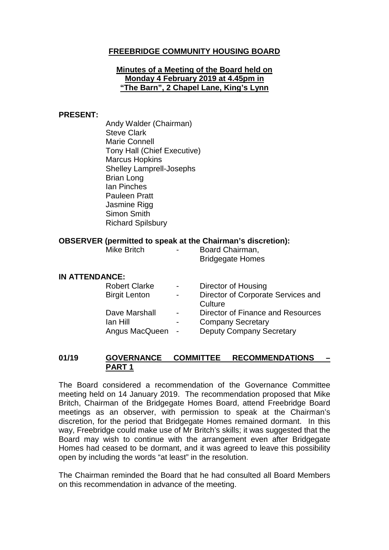### **FREEBRIDGE COMMUNITY HOUSING BOARD**

#### **Minutes of a Meeting of the Board held on Monday 4 February 2019 at 4.45pm in "The Barn", 2 Chapel Lane, King's Lynn**

#### **PRESENT:**

Andy Walder (Chairman) Steve Clark Marie Connell Tony Hall (Chief Executive) Marcus Hopkins Shelley Lamprell-Josephs Brian Long Ian Pinches Pauleen Pratt Jasmine Rigg Simon Smith Richard Spilsbury

#### **OBSERVER (permitted to speak at the Chairman's discretion):**

Mike Britch **- Board Chairman,** Bridgegate Homes

#### **IN ATTENDANCE:**

| <b>Robert Clarke</b> | $\sim$ 100 $\mu$         | Director of Housing                |
|----------------------|--------------------------|------------------------------------|
| <b>Birgit Lenton</b> | $\blacksquare$           | Director of Corporate Services and |
|                      |                          | Culture                            |
| Dave Marshall        | $\blacksquare$           | Director of Finance and Resources  |
| lan Hill             | $\overline{\phantom{0}}$ | <b>Company Secretary</b>           |
| Angus MacQueen -     |                          | <b>Deputy Company Secretary</b>    |

### **01/19 GOVERNANCE COMMITTEE RECOMMENDATIONS – PART 1**

The Board considered a recommendation of the Governance Committee meeting held on 14 January 2019. The recommendation proposed that Mike Britch, Chairman of the Bridgegate Homes Board, attend Freebridge Board meetings as an observer, with permission to speak at the Chairman's discretion, for the period that Bridgegate Homes remained dormant. In this way, Freebridge could make use of Mr Britch's skills; it was suggested that the Board may wish to continue with the arrangement even after Bridgegate Homes had ceased to be dormant, and it was agreed to leave this possibility open by including the words "at least" in the resolution.

The Chairman reminded the Board that he had consulted all Board Members on this recommendation in advance of the meeting.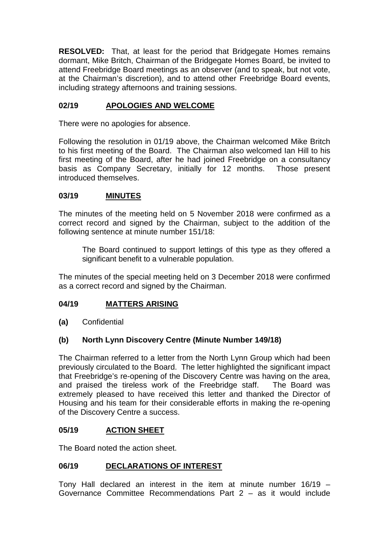**RESOLVED:** That, at least for the period that Bridgegate Homes remains dormant, Mike Britch, Chairman of the Bridgegate Homes Board, be invited to attend Freebridge Board meetings as an observer (and to speak, but not vote, at the Chairman's discretion), and to attend other Freebridge Board events, including strategy afternoons and training sessions.

## **02/19 APOLOGIES AND WELCOME**

There were no apologies for absence.

Following the resolution in 01/19 above, the Chairman welcomed Mike Britch to his first meeting of the Board. The Chairman also welcomed Ian Hill to his first meeting of the Board, after he had joined Freebridge on a consultancy basis as Company Secretary, initially for 12 months. Those present introduced themselves.

### **03/19 MINUTES**

The minutes of the meeting held on 5 November 2018 were confirmed as a correct record and signed by the Chairman, subject to the addition of the following sentence at minute number 151/18:

The Board continued to support lettings of this type as they offered a significant benefit to a vulnerable population.

The minutes of the special meeting held on 3 December 2018 were confirmed as a correct record and signed by the Chairman.

### **04/19 MATTERS ARISING**

**(a)** Confidential

### **(b) North Lynn Discovery Centre (Minute Number 149/18)**

The Chairman referred to a letter from the North Lynn Group which had been previously circulated to the Board. The letter highlighted the significant impact that Freebridge's re-opening of the Discovery Centre was having on the area, and praised the tireless work of the Freebridge staff. The Board was extremely pleased to have received this letter and thanked the Director of Housing and his team for their considerable efforts in making the re-opening of the Discovery Centre a success.

#### **05/19 ACTION SHEET**

The Board noted the action sheet.

### **06/19 DECLARATIONS OF INTEREST**

Tony Hall declared an interest in the item at minute number 16/19 – Governance Committee Recommendations Part 2 – as it would include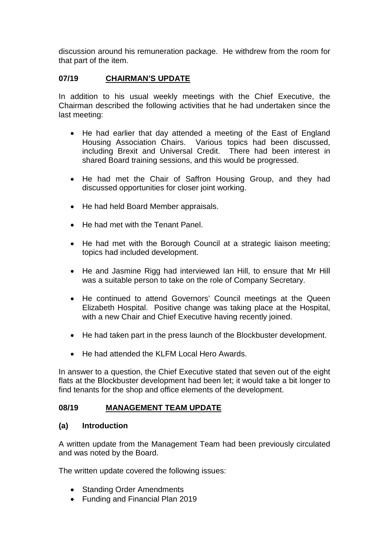discussion around his remuneration package. He withdrew from the room for that part of the item.

### **07/19 CHAIRMAN'S UPDATE**

In addition to his usual weekly meetings with the Chief Executive, the Chairman described the following activities that he had undertaken since the last meeting:

- He had earlier that day attended a meeting of the East of England Housing Association Chairs. Various topics had been discussed, including Brexit and Universal Credit. There had been interest in shared Board training sessions, and this would be progressed.
- He had met the Chair of Saffron Housing Group, and they had discussed opportunities for closer joint working.
- He had held Board Member appraisals.
- He had met with the Tenant Panel.
- He had met with the Borough Council at a strategic liaison meeting; topics had included development.
- He and Jasmine Rigg had interviewed Ian Hill, to ensure that Mr Hill was a suitable person to take on the role of Company Secretary.
- He continued to attend Governors' Council meetings at the Queen Elizabeth Hospital. Positive change was taking place at the Hospital, with a new Chair and Chief Executive having recently joined.
- He had taken part in the press launch of the Blockbuster development.
- He had attended the KLFM Local Hero Awards.

In answer to a question, the Chief Executive stated that seven out of the eight flats at the Blockbuster development had been let; it would take a bit longer to find tenants for the shop and office elements of the development.

### **08/19 MANAGEMENT TEAM UPDATE**

### **(a) Introduction**

A written update from the Management Team had been previously circulated and was noted by the Board.

The written update covered the following issues:

- Standing Order Amendments
- Funding and Financial Plan 2019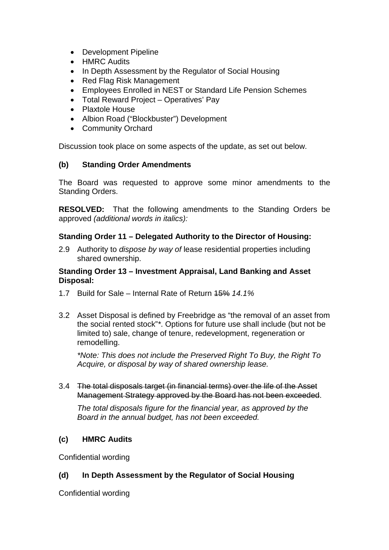- Development Pipeline
- HMRC Audits
- In Depth Assessment by the Regulator of Social Housing
- Red Flag Risk Management
- Employees Enrolled in NEST or Standard Life Pension Schemes
- Total Reward Project Operatives' Pay
- Plaxtole House
- Albion Road ("Blockbuster") Development
- Community Orchard

Discussion took place on some aspects of the update, as set out below.

## **(b) Standing Order Amendments**

The Board was requested to approve some minor amendments to the Standing Orders.

**RESOLVED:** That the following amendments to the Standing Orders be approved *(additional words in italics):*

## **Standing Order 11 – Delegated Authority to the Director of Housing:**

2.9 Authority to *dispose by way of* lease residential properties including shared ownership.

### **Standing Order 13 – Investment Appraisal, Land Banking and Asset Disposal:**

- 1.7 Build for Sale Internal Rate of Return 15% *14.1%*
- 3.2 Asset Disposal is defined by Freebridge as "the removal of an asset from the social rented stock"*\**. Options for future use shall include (but not be limited to) sale, change of tenure, redevelopment, regeneration or remodelling.

*\*Note: This does not include the Preserved Right To Buy, the Right To Acquire, or disposal by way of shared ownership lease.*

3.4 The total disposals target (in financial terms) over the life of the Asset Management Strategy approved by the Board has not been exceeded.

*The total disposals figure for the financial year, as approved by the Board in the annual budget, has not been exceeded.* 

## **(c) HMRC Audits**

Confidential wording

# **(d) In Depth Assessment by the Regulator of Social Housing**

Confidential wording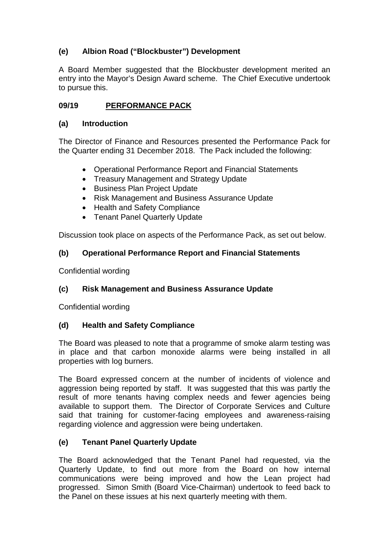# **(e) Albion Road ("Blockbuster") Development**

A Board Member suggested that the Blockbuster development merited an entry into the Mayor's Design Award scheme. The Chief Executive undertook to pursue this.

## **09/19 PERFORMANCE PACK**

### **(a) Introduction**

The Director of Finance and Resources presented the Performance Pack for the Quarter ending 31 December 2018. The Pack included the following:

- Operational Performance Report and Financial Statements
- Treasury Management and Strategy Update
- Business Plan Project Update
- Risk Management and Business Assurance Update
- Health and Safety Compliance
- Tenant Panel Quarterly Update

Discussion took place on aspects of the Performance Pack, as set out below.

## **(b) Operational Performance Report and Financial Statements**

Confidential wording

## **(c) Risk Management and Business Assurance Update**

Confidential wording

## **(d) Health and Safety Compliance**

The Board was pleased to note that a programme of smoke alarm testing was in place and that carbon monoxide alarms were being installed in all properties with log burners.

The Board expressed concern at the number of incidents of violence and aggression being reported by staff. It was suggested that this was partly the result of more tenants having complex needs and fewer agencies being available to support them. The Director of Corporate Services and Culture said that training for customer-facing employees and awareness-raising regarding violence and aggression were being undertaken.

## **(e) Tenant Panel Quarterly Update**

The Board acknowledged that the Tenant Panel had requested, via the Quarterly Update, to find out more from the Board on how internal communications were being improved and how the Lean project had progressed. Simon Smith (Board Vice-Chairman) undertook to feed back to the Panel on these issues at his next quarterly meeting with them.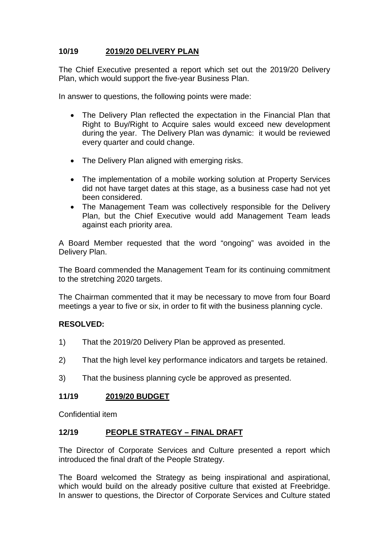## **10/19 2019/20 DELIVERY PLAN**

The Chief Executive presented a report which set out the 2019/20 Delivery Plan, which would support the five-year Business Plan.

In answer to questions, the following points were made:

- The Delivery Plan reflected the expectation in the Financial Plan that Right to Buy/Right to Acquire sales would exceed new development during the year. The Delivery Plan was dynamic: it would be reviewed every quarter and could change.
- The Delivery Plan aligned with emerging risks.
- The implementation of a mobile working solution at Property Services did not have target dates at this stage, as a business case had not yet been considered.
- The Management Team was collectively responsible for the Delivery Plan, but the Chief Executive would add Management Team leads against each priority area.

A Board Member requested that the word "ongoing" was avoided in the Delivery Plan.

The Board commended the Management Team for its continuing commitment to the stretching 2020 targets.

The Chairman commented that it may be necessary to move from four Board meetings a year to five or six, in order to fit with the business planning cycle.

### **RESOLVED:**

- 1) That the 2019/20 Delivery Plan be approved as presented.
- 2) That the high level key performance indicators and targets be retained.
- 3) That the business planning cycle be approved as presented.

### **11/19 2019/20 BUDGET**

Confidential item

### **12/19 PEOPLE STRATEGY – FINAL DRAFT**

The Director of Corporate Services and Culture presented a report which introduced the final draft of the People Strategy.

The Board welcomed the Strategy as being inspirational and aspirational, which would build on the already positive culture that existed at Freebridge. In answer to questions, the Director of Corporate Services and Culture stated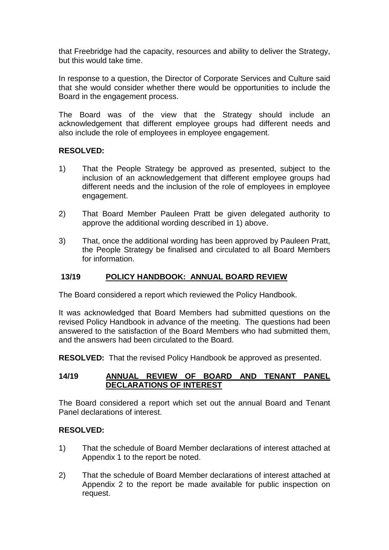that Freebridge had the capacity, resources and ability to deliver the Strategy, but this would take time.

In response to a question, the Director of Corporate Services and Culture said that she would consider whether there would be opportunities to include the Board in the engagement process.

The Board was of the view that the Strategy should include an acknowledgement that different employee groups had different needs and also include the role of employees in employee engagement.

### **RESOLVED:**

- 1) That the People Strategy be approved as presented, subject to the inclusion of an acknowledgement that different employee groups had different needs and the inclusion of the role of employees in employee engagement.
- 2) That Board Member Pauleen Pratt be given delegated authority to approve the additional wording described in 1) above.
- 3) That, once the additional wording has been approved by Pauleen Pratt, the People Strategy be finalised and circulated to all Board Members for information.

### **13/19 POLICY HANDBOOK: ANNUAL BOARD REVIEW**

The Board considered a report which reviewed the Policy Handbook.

It was acknowledged that Board Members had submitted questions on the revised Policy Handbook in advance of the meeting. The questions had been answered to the satisfaction of the Board Members who had submitted them, and the answers had been circulated to the Board.

**RESOLVED:** That the revised Policy Handbook be approved as presented.

### **14/19 ANNUAL REVIEW OF BOARD AND TENANT PANEL DECLARATIONS OF INTEREST**

The Board considered a report which set out the annual Board and Tenant Panel declarations of interest.

### **RESOLVED:**

- 1) That the schedule of Board Member declarations of interest attached at Appendix 1 to the report be noted.
- 2) That the schedule of Board Member declarations of interest attached at Appendix 2 to the report be made available for public inspection on request.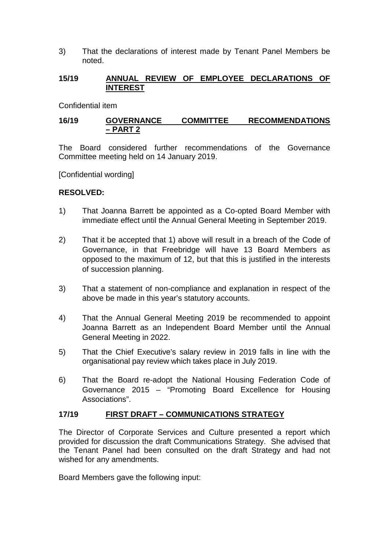3) That the declarations of interest made by Tenant Panel Members be noted.

### **15/19 ANNUAL REVIEW OF EMPLOYEE DECLARATIONS OF INTEREST**

Confidential item

### **16/19 GOVERNANCE COMMITTEE RECOMMENDATIONS – PART 2**

The Board considered further recommendations of the Governance Committee meeting held on 14 January 2019.

[Confidential wording]

### **RESOLVED:**

- 1) That Joanna Barrett be appointed as a Co-opted Board Member with immediate effect until the Annual General Meeting in September 2019.
- 2) That it be accepted that 1) above will result in a breach of the Code of Governance, in that Freebridge will have 13 Board Members as opposed to the maximum of 12, but that this is justified in the interests of succession planning.
- 3) That a statement of non-compliance and explanation in respect of the above be made in this year's statutory accounts.
- 4) That the Annual General Meeting 2019 be recommended to appoint Joanna Barrett as an Independent Board Member until the Annual General Meeting in 2022.
- 5) That the Chief Executive's salary review in 2019 falls in line with the organisational pay review which takes place in July 2019.
- 6) That the Board re-adopt the National Housing Federation Code of Governance 2015 – "Promoting Board Excellence for Housing Associations".

### **17/19 FIRST DRAFT – COMMUNICATIONS STRATEGY**

The Director of Corporate Services and Culture presented a report which provided for discussion the draft Communications Strategy. She advised that the Tenant Panel had been consulted on the draft Strategy and had not wished for any amendments.

Board Members gave the following input: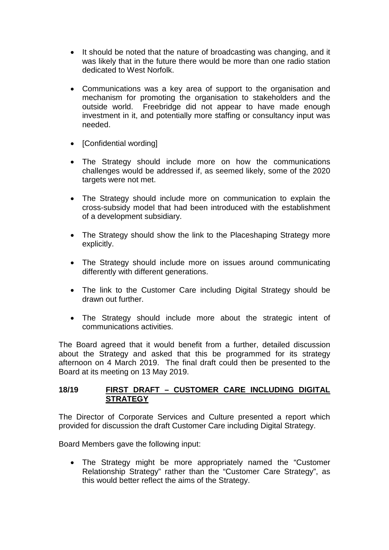- It should be noted that the nature of broadcasting was changing, and it was likely that in the future there would be more than one radio station dedicated to West Norfolk.
- Communications was a key area of support to the organisation and mechanism for promoting the organisation to stakeholders and the outside world. Freebridge did not appear to have made enough investment in it, and potentially more staffing or consultancy input was needed.
- [Confidential wording]
- The Strategy should include more on how the communications challenges would be addressed if, as seemed likely, some of the 2020 targets were not met.
- The Strategy should include more on communication to explain the cross-subsidy model that had been introduced with the establishment of a development subsidiary.
- The Strategy should show the link to the Placeshaping Strategy more explicitly.
- The Strategy should include more on issues around communicating differently with different generations.
- The link to the Customer Care including Digital Strategy should be drawn out further.
- The Strategy should include more about the strategic intent of communications activities.

The Board agreed that it would benefit from a further, detailed discussion about the Strategy and asked that this be programmed for its strategy afternoon on 4 March 2019. The final draft could then be presented to the Board at its meeting on 13 May 2019.

### **18/19 FIRST DRAFT – CUSTOMER CARE INCLUDING DIGITAL STRATEGY**

The Director of Corporate Services and Culture presented a report which provided for discussion the draft Customer Care including Digital Strategy.

Board Members gave the following input:

• The Strategy might be more appropriately named the "Customer Relationship Strategy" rather than the "Customer Care Strategy", as this would better reflect the aims of the Strategy.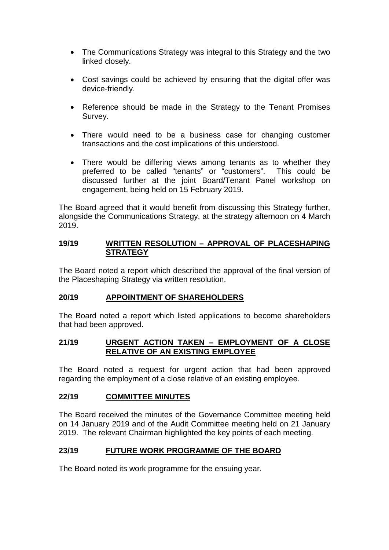- The Communications Strategy was integral to this Strategy and the two linked closely.
- Cost savings could be achieved by ensuring that the digital offer was device-friendly.
- Reference should be made in the Strategy to the Tenant Promises Survey.
- There would need to be a business case for changing customer transactions and the cost implications of this understood.
- There would be differing views among tenants as to whether they preferred to be called "tenants" or "customers". This could be discussed further at the joint Board/Tenant Panel workshop on engagement, being held on 15 February 2019.

The Board agreed that it would benefit from discussing this Strategy further, alongside the Communications Strategy, at the strategy afternoon on 4 March 2019.

### **19/19 WRITTEN RESOLUTION – APPROVAL OF PLACESHAPING STRATEGY**

The Board noted a report which described the approval of the final version of the Placeshaping Strategy via written resolution.

### **20/19 APPOINTMENT OF SHAREHOLDERS**

The Board noted a report which listed applications to become shareholders that had been approved.

### **21/19 URGENT ACTION TAKEN – EMPLOYMENT OF A CLOSE RELATIVE OF AN EXISTING EMPLOYEE**

The Board noted a request for urgent action that had been approved regarding the employment of a close relative of an existing employee.

### **22/19 COMMITTEE MINUTES**

The Board received the minutes of the Governance Committee meeting held on 14 January 2019 and of the Audit Committee meeting held on 21 January 2019. The relevant Chairman highlighted the key points of each meeting.

## **23/19 FUTURE WORK PROGRAMME OF THE BOARD**

The Board noted its work programme for the ensuing year.